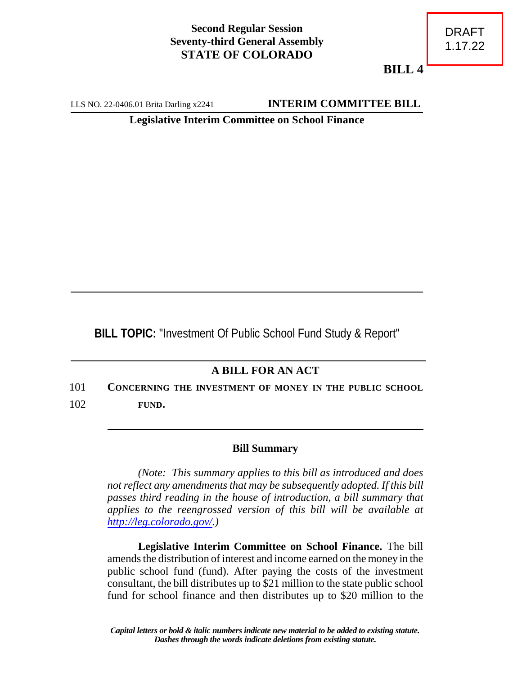## **Second Regular Session Seventy-third General Assembly STATE OF COLORADO**

**BILL 4**

LLS NO. 22-0406.01 Brita Darling x2241 **INTERIM COMMITTEE BILL** 

**Legislative Interim Committee on School Finance**

**BILL TOPIC:** "Investment Of Public School Fund Study & Report"

## **A BILL FOR AN ACT**

101 **CONCERNING THE INVESTMENT OF MONEY IN THE PUBLIC SCHOOL** 102 **FUND.**

## **Bill Summary**

*(Note: This summary applies to this bill as introduced and does not reflect any amendments that may be subsequently adopted. If this bill passes third reading in the house of introduction, a bill summary that applies to the reengrossed version of this bill will be available at <http://leg.colorado.gov/>.)*

**Legislative Interim Committee on School Finance.** The bill amends the distribution of interest and income earned on the money in the public school fund (fund). After paying the costs of the investment consultant, the bill distributes up to \$21 million to the state public school fund for school finance and then distributes up to \$20 million to the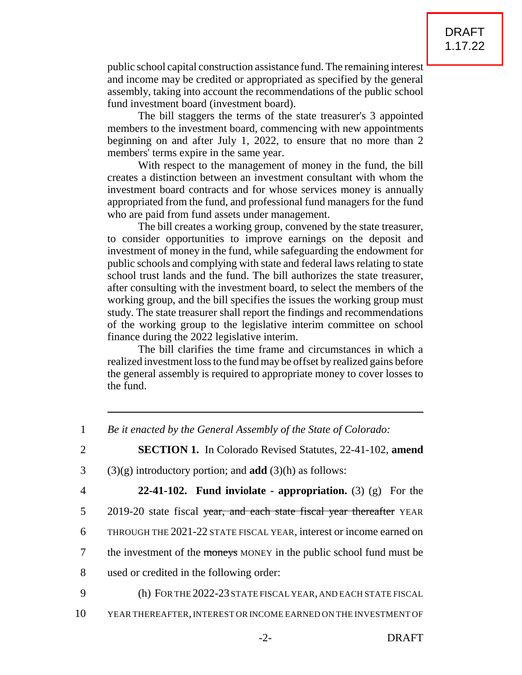public school capital construction assistance fund. The remaining interest and income may be credited or appropriated as specified by the general assembly, taking into account the recommendations of the public school fund investment board (investment board).

The bill staggers the terms of the state treasurer's 3 appointed members to the investment board, commencing with new appointments beginning on and after July 1, 2022, to ensure that no more than 2 members' terms expire in the same year.

With respect to the management of money in the fund, the bill creates a distinction between an investment consultant with whom the investment board contracts and for whose services money is annually appropriated from the fund, and professional fund managers for the fund who are paid from fund assets under management.

The bill creates a working group, convened by the state treasurer, to consider opportunities to improve earnings on the deposit and investment of money in the fund, while safeguarding the endowment for public schools and complying with state and federal laws relating to state school trust lands and the fund. The bill authorizes the state treasurer, after consulting with the investment board, to select the members of the working group, and the bill specifies the issues the working group must study. The state treasurer shall report the findings and recommendations of the working group to the legislative interim committee on school finance during the 2022 legislative interim.

The bill clarifies the time frame and circumstances in which a realized investment loss to the fund may be offset by realized gains before the general assembly is required to appropriate money to cover losses to the fund.

- 3 (3)(g) introductory portion; and **add** (3)(h) as follows:
- 

4 **22-41-102. Fund inviolate - appropriation.** (3) (g) For the

- 5 2019-20 state fiscal year, and each state fiscal year thereafter YEAR
- 6 THROUGH THE 2021-22 STATE FISCAL YEAR, interest or income earned on
- 7 the investment of the moneys MONEY in the public school fund must be
- 8 used or credited in the following order:
	-
- 9 (h) FOR THE 2022-23 STATE FISCAL YEAR, AND EACH STATE FISCAL
- 10 YEAR THEREAFTER,INTEREST OR INCOME EARNED ON THE INVESTMENT OF

<sup>1</sup> *Be it enacted by the General Assembly of the State of Colorado:* 2 **SECTION 1.** In Colorado Revised Statutes, 22-41-102, **amend**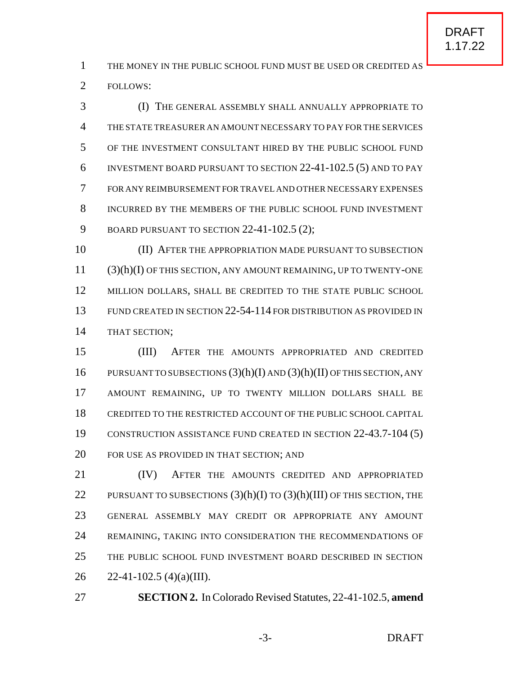THE MONEY IN THE PUBLIC SCHOOL FUND MUST BE USED OR CREDITED AS FOLLOWS:

 (I) THE GENERAL ASSEMBLY SHALL ANNUALLY APPROPRIATE TO THE STATE TREASURER AN AMOUNT NECESSARY TO PAY FOR THE SERVICES OF THE INVESTMENT CONSULTANT HIRED BY THE PUBLIC SCHOOL FUND INVESTMENT BOARD PURSUANT TO SECTION 22-41-102.5 (5) AND TO PAY FOR ANY REIMBURSEMENT FOR TRAVEL AND OTHER NECESSARY EXPENSES INCURRED BY THE MEMBERS OF THE PUBLIC SCHOOL FUND INVESTMENT BOARD PURSUANT TO SECTION 22-41-102.5 (2);

 (II) AFTER THE APPROPRIATION MADE PURSUANT TO SUBSECTION (3)(h)(I) OF THIS SECTION, ANY AMOUNT REMAINING, UP TO TWENTY-ONE 12 MILLION DOLLARS, SHALL BE CREDITED TO THE STATE PUBLIC SCHOOL FUND CREATED IN SECTION 22-54-114 FOR DISTRIBUTION AS PROVIDED IN THAT SECTION;

 (III) AFTER THE AMOUNTS APPROPRIATED AND CREDITED 16 PURSUANT TO SUBSECTIONS  $(3)(h)(I)$  AND  $(3)(h)(II)$  OF THIS SECTION, ANY AMOUNT REMAINING, UP TO TWENTY MILLION DOLLARS SHALL BE CREDITED TO THE RESTRICTED ACCOUNT OF THE PUBLIC SCHOOL CAPITAL CONSTRUCTION ASSISTANCE FUND CREATED IN SECTION 22-43.7-104 (5) FOR USE AS PROVIDED IN THAT SECTION; AND

 (IV) AFTER THE AMOUNTS CREDITED AND APPROPRIATED 22 PURSUANT TO SUBSECTIONS  $(3)(h)(I)$  TO  $(3)(h)(III)$  OF THIS SECTION, THE GENERAL ASSEMBLY MAY CREDIT OR APPROPRIATE ANY AMOUNT 24 REMAINING, TAKING INTO CONSIDERATION THE RECOMMENDATIONS OF THE PUBLIC SCHOOL FUND INVESTMENT BOARD DESCRIBED IN SECTION 26 22-41-102.5 (4)(a)(III).

**SECTION 2.** In Colorado Revised Statutes, 22-41-102.5, **amend**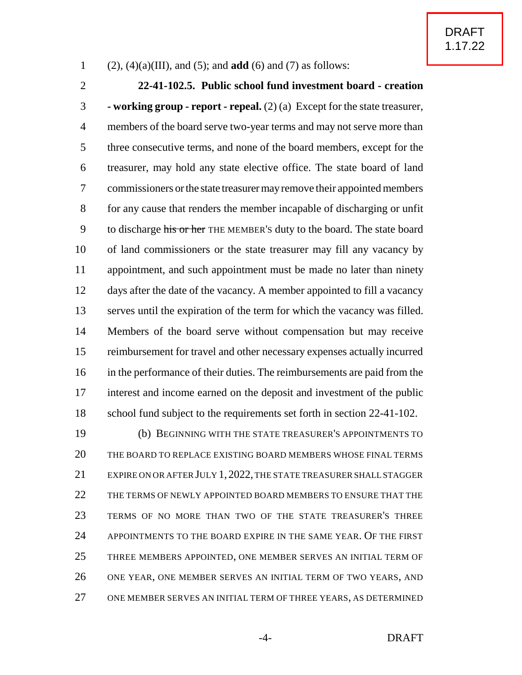## (2), (4)(a)(III), and (5); and **add** (6) and (7) as follows:

 **22-41-102.5. Public school fund investment board - creation - working group - report - repeal.** (2) (a) Except for the state treasurer, members of the board serve two-year terms and may not serve more than three consecutive terms, and none of the board members, except for the treasurer, may hold any state elective office. The state board of land commissioners orthe state treasurermayremove their appointed members for any cause that renders the member incapable of discharging or unfit 9 to discharge his or her THE MEMBER's duty to the board. The state board of land commissioners or the state treasurer may fill any vacancy by appointment, and such appointment must be made no later than ninety days after the date of the vacancy. A member appointed to fill a vacancy serves until the expiration of the term for which the vacancy was filled. Members of the board serve without compensation but may receive reimbursement for travel and other necessary expenses actually incurred in the performance of their duties. The reimbursements are paid from the interest and income earned on the deposit and investment of the public 18 school fund subject to the requirements set forth in section 22-41-102. (b) BEGINNING WITH THE STATE TREASURER'S APPOINTMENTS TO

 THE BOARD TO REPLACE EXISTING BOARD MEMBERS WHOSE FINAL TERMS 21 EXPIRE ON OR AFTER JULY 1, 2022, THE STATE TREASURER SHALL STAGGER THE TERMS OF NEWLY APPOINTED BOARD MEMBERS TO ENSURE THAT THE TERMS OF NO MORE THAN TWO OF THE STATE TREASURER'S THREE APPOINTMENTS TO THE BOARD EXPIRE IN THE SAME YEAR. OF THE FIRST THREE MEMBERS APPOINTED, ONE MEMBER SERVES AN INITIAL TERM OF ONE YEAR, ONE MEMBER SERVES AN INITIAL TERM OF TWO YEARS, AND ONE MEMBER SERVES AN INITIAL TERM OF THREE YEARS, AS DETERMINED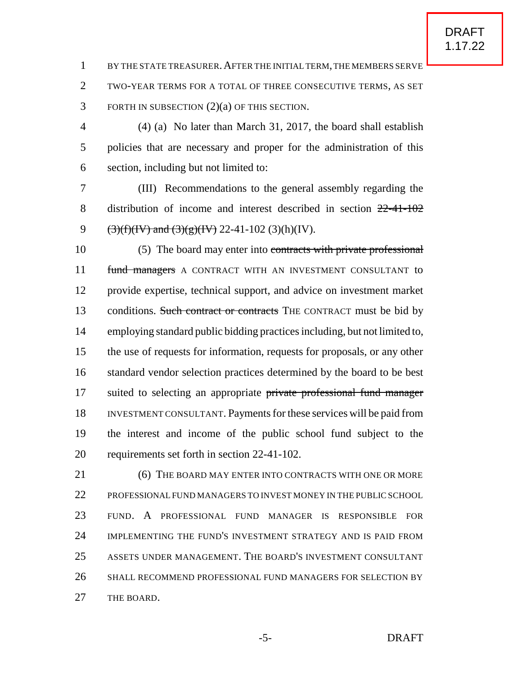BY THE STATE TREASURER.AFTER THE INITIALTERM,THE MEMBERS SERVE TWO-YEAR TERMS FOR A TOTAL OF THREE CONSECUTIVE TERMS, AS SET FORTH IN SUBSECTION (2)(a) OF THIS SECTION.

 (4) (a) No later than March 31, 2017, the board shall establish policies that are necessary and proper for the administration of this section, including but not limited to:

 (III) Recommendations to the general assembly regarding the distribution of income and interest described in section 22-41-102 (3)(f)(IV) and (3)(g)(IV) 22-41-102 (3)(h)(IV).

 (5) The board may enter into contracts with private professional 11 fund managers A CONTRACT WITH AN INVESTMENT CONSULTANT to provide expertise, technical support, and advice on investment market 13 conditions. Such contract or contracts THE CONTRACT must be bid by employing standard public bidding practices including, but not limited to, the use of requests for information, requests for proposals, or any other standard vendor selection practices determined by the board to be best 17 suited to selecting an appropriate private professional fund manager INVESTMENT CONSULTANT. Payments for these services will be paid from the interest and income of the public school fund subject to the requirements set forth in section 22-41-102.

21 (6) THE BOARD MAY ENTER INTO CONTRACTS WITH ONE OR MORE PROFESSIONALFUND MANAGERS TO INVEST MONEY IN THE PUBLIC SCHOOL FUND. A PROFESSIONAL FUND MANAGER IS RESPONSIBLE FOR IMPLEMENTING THE FUND'S INVESTMENT STRATEGY AND IS PAID FROM ASSETS UNDER MANAGEMENT. THE BOARD'S INVESTMENT CONSULTANT SHALL RECOMMEND PROFESSIONAL FUND MANAGERS FOR SELECTION BY 27 THE BOARD.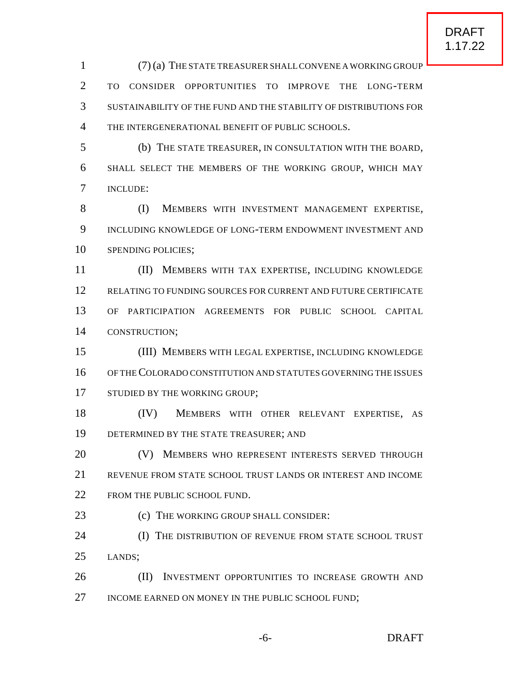(7) (a) THE STATE TREASURERSHALL CONVENE A WORKING GROUP TO CONSIDER OPPORTUNITIES TO IMPROVE THE LONG-TERM SUSTAINABILITY OF THE FUND AND THE STABILITY OF DISTRIBUTIONS FOR THE INTERGENERATIONAL BENEFIT OF PUBLIC SCHOOLS.

 (b) THE STATE TREASURER, IN CONSULTATION WITH THE BOARD, SHALL SELECT THE MEMBERS OF THE WORKING GROUP, WHICH MAY INCLUDE:

8 (I) MEMBERS WITH INVESTMENT MANAGEMENT EXPERTISE. INCLUDING KNOWLEDGE OF LONG-TERM ENDOWMENT INVESTMENT AND 10 SPENDING POLICIES:

 (II) MEMBERS WITH TAX EXPERTISE, INCLUDING KNOWLEDGE RELATING TO FUNDING SOURCES FOR CURRENT AND FUTURE CERTIFICATE OF PARTICIPATION AGREEMENTS FOR PUBLIC SCHOOL CAPITAL CONSTRUCTION;

 (III) MEMBERS WITH LEGAL EXPERTISE, INCLUDING KNOWLEDGE OF THECOLORADO CONSTITUTION AND STATUTES GOVERNING THE ISSUES 17 STUDIED BY THE WORKING GROUP;

 (IV) MEMBERS WITH OTHER RELEVANT EXPERTISE, AS 19 DETERMINED BY THE STATE TREASURER; AND

**(V) MEMBERS WHO REPRESENT INTERESTS SERVED THROUGH**  REVENUE FROM STATE SCHOOL TRUST LANDS OR INTEREST AND INCOME 22 FROM THE PUBLIC SCHOOL FUND.

**(c)** THE WORKING GROUP SHALL CONSIDER:

**(I) THE DISTRIBUTION OF REVENUE FROM STATE SCHOOL TRUST** LANDS;

**(II)** INVESTMENT OPPORTUNITIES TO INCREASE GROWTH AND 27 INCOME EARNED ON MONEY IN THE PUBLIC SCHOOL FUND;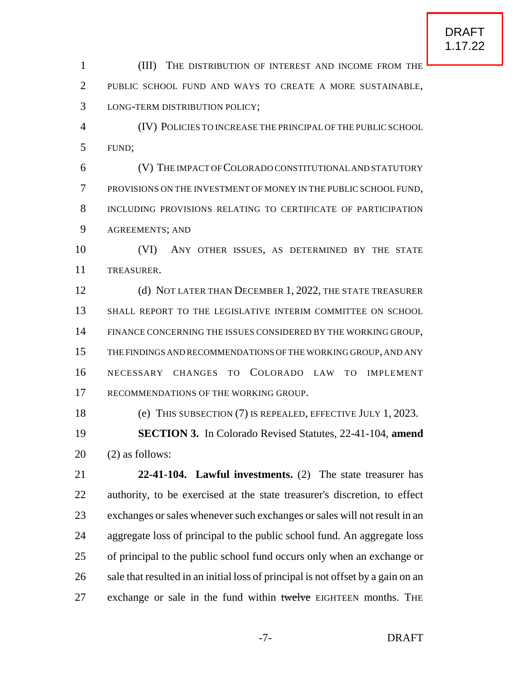(III) THE DISTRIBUTION OF INTEREST AND INCOME FROM THE PUBLIC SCHOOL FUND AND WAYS TO CREATE A MORE SUSTAINABLE, LONG-TERM DISTRIBUTION POLICY;

 (IV) POLICIES TO INCREASE THE PRINCIPAL OF THE PUBLIC SCHOOL FUND;

 (V) THE IMPACT OFCOLORADO CONSTITUTIONALAND STATUTORY PROVISIONS ON THE INVESTMENT OF MONEY IN THE PUBLIC SCHOOL FUND, INCLUDING PROVISIONS RELATING TO CERTIFICATE OF PARTICIPATION AGREEMENTS; AND

 (VI) ANY OTHER ISSUES, AS DETERMINED BY THE STATE TREASURER.

12 (d) NOT LATER THAN DECEMBER 1, 2022, THE STATE TREASURER SHALL REPORT TO THE LEGISLATIVE INTERIM COMMITTEE ON SCHOOL FINANCE CONCERNING THE ISSUES CONSIDERED BY THE WORKING GROUP, THE FINDINGS AND RECOMMENDATIONS OF THE WORKING GROUP, AND ANY NECESSARY CHANGES TO COLORADO LAW TO IMPLEMENT 17 RECOMMENDATIONS OF THE WORKING GROUP.

(e) THIS SUBSECTION (7) IS REPEALED, EFFECTIVE JULY 1, 2023.

 **SECTION 3.** In Colorado Revised Statutes, 22-41-104, **amend** (2) as follows:

 **22-41-104. Lawful investments.** (2) The state treasurer has authority, to be exercised at the state treasurer's discretion, to effect exchanges or sales whenever such exchanges or sales will not result in an aggregate loss of principal to the public school fund. An aggregate loss of principal to the public school fund occurs only when an exchange or sale that resulted in an initial loss of principal is not offset by a gain on an 27 exchange or sale in the fund within twelve EIGHTEEN months. THE